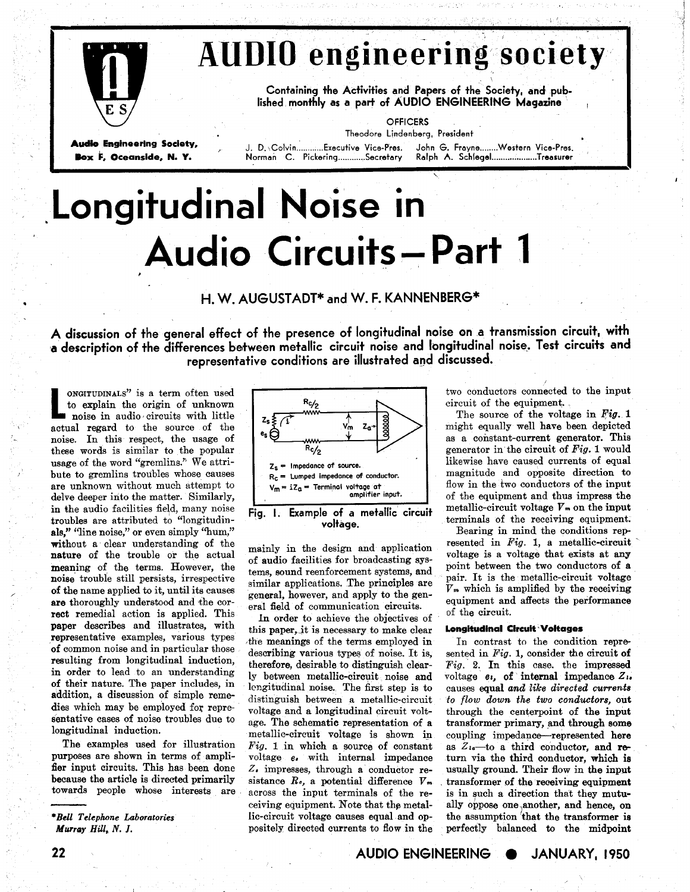

# **KUDIO engineering society**

**Containing +he Activities and Papers of the Society, and published monthly as a part of AUDIO ENGINEERING Magazine** !

**Audio 6ngineering Society,** , **J. D.\Colvin** ..... .... **Executive Vice-Pres. John 6. Frayne** ........ **Western Vice-Pres.** 

**OFFICERS Theodore Lindenberg, President** 

 $\mathsf{Norman}$  C. Pickering.............Secretary

**I** 

\

# **,Longitudinal Noise in Audio Circuits - Part 1**

t<br>toponing and the contract of the contract of the contract of the contract of the contract of the contract of the

# **H. W. AUGUSTADT\* and W. F. KANNENBERG\***

**A discussion of the general effect of the presence of longitudinal noise on a transmission circuit, with a** description of the differences between metallic circuit noise and longitudinal noise. Test circuits and **representative conditions are illustrated and discussed.** 

**CONGITUDINALS**" is a term often used<br>to explain the origin of unknown<br>noise in audio circuits with little to explain the origin of unknown noise in audio, circuits with little actual regard to the source of the noise. In this respect, the usage of these words is similar to the popular usage of the word "gremlins." We attribute to gremlins troubles whose causes are unknown without much attempt to delve deeper into the matter. Similarly, in the audio facilities field, many noise troubles are attributed to "longitudinals," "line noise," or even simply "hum," without a clear understanding of the nature of the trouble or the actual meaning of the terms. However, the noise trouble still persists, irrespective of the name applied to it, until its causes are thoroughly understood and the correct remedial action is applied. This paper describes and illustrates, with representative examples, various types of common noise and in particular those resulting from longitudinal induction, in order to lead to an understanding of their nature. The paper includes, in addition, a discussion of simple remedies which may be employed for representative cases of noise troubles due to longitudinal induction.

The examples used for illustration purposes are shown in terms of amplifier input circuits. This has been done because the article is directed primarily towards people whose interests are



mainly in the design and application of audio facilities for broadcasting systems, sound reenforcement systems, and similar applications. The principles are general, however, and apply to the general field of communication circuits.

In order to achieve the objectives of this paper, it is necessary to make clear ,the meanings of the terms employed in describing various types of noise. It is, therefore, desirable to distinguish clearly between metallic-circuit noise and lengitudinal noise. The first step is to distinguish between a metallic-circuit voltage and a longitudinal circuit voltage. The schematic representation of a metallic-circuit voltage is shown in *Fig.* 1 in which a source of constant voltage *e,* with internal impedance 2. impresses, through a conductor resistance **Re,** a potential difference **Vm**  across the input terminals of the receiving equipment. Note that the metallic-circuit voltage causes equal and oppositely directed currents to flow in the two conductors connected to the input circuit of the equipment.

The source of the voltage in *Pig.* 1 might equally well have been depicted as a constant-current generator. This generator in the circuit of *Fig.* 1 would likewise have caused currents of equal magnitude and opposite direction to flow in the two conductors of the input of the equipment and thus impress the metallic-circuit voltage  $V_m$  on the input terminals of the receiving equipment.

Bearing in mind the conditions rep resented in *Fig.* 1, a metallic-circuit voltage is a voltage that exists at **any**  point between the two conductors of a pair. It is the metallic-circuit voltage **Vm** which is amplified by the receiving equipment and affects the performance of the circuit.

## **Longitudinal Circuit voltages**

In contrast to the condition represented in *Fig.* 1, consider the circuit **of Fig.** 2. In this case. the impressed voltage  $e_i$ , of internal impedance  $Z_i$ . causes equal **and** *like directed currents to flow down the two conductors,* out through the centerpoint of the input transformer primary, and through some coupling impedance-represented here as  $Z_{1a}$ —to a third conductor, and return via the third conductor, which is usually ground. Their flow in the input transformer of the receiving equipment is in such a direction that they mutually oppose one janother, and hence, **on**  the assumption that the transformer is perfectly balanced to the midpoint

**22 AUDIO ENGINEERING JANUARY, 1950** 

*<sup>\*</sup>Bell Telephone* **Laboratories**  *Murray Hill,* **N.** *J.*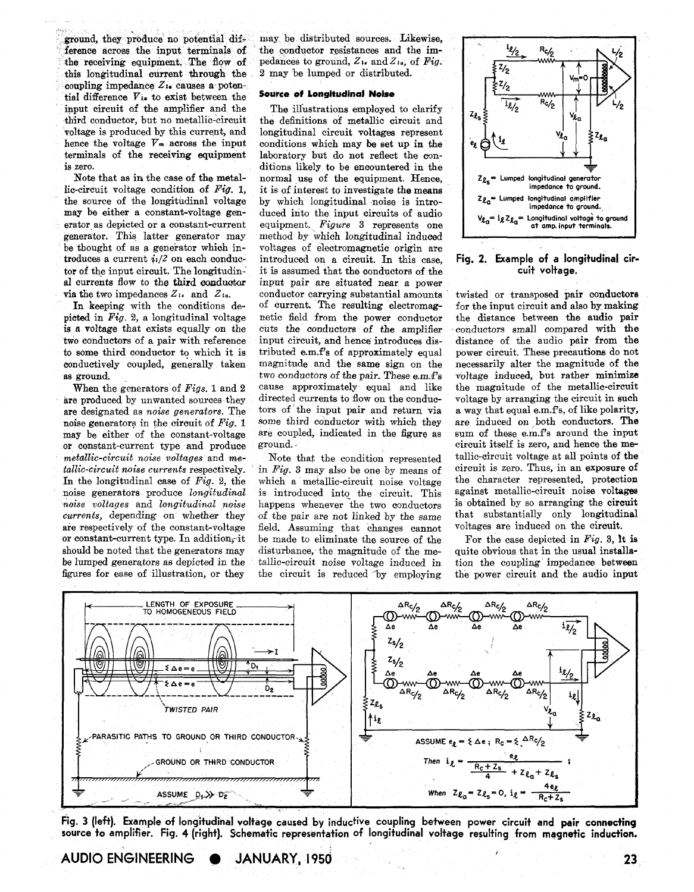ference across the input terminals of the conductor resistances and the im-<br>the receiving equipment. The flow of pedances to ground,  $Z_i$ , and  $Z_i$ , of Fig. the receiving equipment. The flow of pedances to ground,  $Z_{14}$  and  $Z_{14}$ , of *Pig. Phig. 28, and Pig. Phig. Pig. <i>Phig. 2 may be lumped or distributed.* this longitudinal current through the coupling impedance  $Z_{14}$  causes a potential difference V<sub>i</sub>. to exist between the **Source of Longitudinal Noise** input circuit of the amplifier and the The illustrations employed to clarify third conductor, but no metallic-circuit the definitions of metallic circuit and third conductor, but no metallic-circuit the definitions of metallic circuit and voltage is produced by this current, and longitudinal circuit voltages represent voltage is produced by this current, and longitudinal circuit voltages represent hence the voltage  $V_m$  across the input conditions which may be set up in the hence the voltage  $V_m$  across the input conditions which may be set up in the terminals of the receiving equipment laboratory but do not reflect the conterminals of the receiving equipment laboratory but do not reflect the con-

Note that as in the case of the metal- normal use of the equipment. Hence, lic-circuit voltage condition of  $Fig. 1$ , it is of interest to investigate the means the source of the longitudinal voltage may be either a constant-voltage genmay be either a constant-voltage gen- duced into the input circuits of audio erator as depicted or a constant-current equipment. Figure 3 represents one erator as depicted or a constant-current equipment. *Figure* 3 represents one generator. This latter generator may method by which longitudinal induced generator. This latter generator may method by which longitudinal induced<br>be thought of as a generator which in-<br>voltages of electromagnetic origin are be thought of as a generator which in-<br>troduces of electromagnetic origin are<br>troduces a current  $i/2$  on each conduc-<br>introduced on a circuit. In this case. troduces a current  $i/2$  on each conduc- introduced on a circuit. In this case, tor of the input circuit. The longitudin- it is assumed that the conductors of the tor of the input circuit. The longitudin- it is assumed that the conductors of the al currents flow to the third conductor input pair are situated near a power

In keeping with the conditions de-<br>picted in  $Fig. 2$ , a longitudinal voltage picted in *Fig.* 2, a longitudinal voltage netic field from the power conductor is a voltage that exists equally on the cuts the conductors of the amplifier two conductors of a pair with reference to some third conductor to which it is conductively coupled, generally taken as ground.

are produced by unwanted sources they directed currents to flow on the conductors are designated as noise generators. The tors of the input pair and return via are designated as *noise generators*. The tors of the input pair and return via<br>noise generators in the circuit of Fig. 1 some third conductor with which they noise generators in the circuit of *Fig.* 1 may be either of the constant-voltage are coupled, indicated in the figure as or constant-current type and produce ground. or constant-current type and produce *metallic-circuit noise voltages* and *me-* Note that the condition represented *tallic-circuit noise currents* respectively. in *Fig.* 3 may also be one by means of *tallic-circuit noise currents respectively.* in *Fig.* 3 may also be one by means of In the longitudinal case of *Fig.* 2, the which a metallic-circuit noise voltage In the longitudinal case of  $Fig. 2$ , the which a metallic-circuit noise voltage noise generators produce  $longitudinal$  is introduced into the circuit. This noise generators produce *longitudinal* is introduced into the circuit. This noise voltages and *longitudinal* noise happens whenever the two conductors *noise voltages* and *longitudinal noise* happens whenever the two conductors *currents,* depending on whether they of the pair are not linked by the same are respectively of the constant-voltage field. Assuming that changes cannot are respectively of the constant-voltage field. Assuming that changes cannot or constant-current type. In addition, it be made to eliminate the source of the or constant-current type. In addition, it be made to eliminate the source of the solud be noted that the generators may disturbance, the magnitude of the mebe lumped generators as depicted in the tallic-circuit noise voltage induced in figures for ease of illustration, or they the circuit is reduced 'by employing

ground, they produce no potential dif- may be distributed sources. Likewise, ference across the input terminals of the conductor resistances and the im-

zero. ditions likely to be encountered in the Note that as in the case of the metal-<br>normal use of the equipment. Hence, it is of interest to investigate the means<br>by which longitudinal noise is introal currents flow to the third conductor input pair are situated near a power<br>via the two impedances  $Z_i$ , and  $Z_i$ , conductor carrying substantial amounts conductor carrying substantial amounts of current. The resulting electromagcuts the conductors of the amplifier<br>input circuit, and hence introduces distributed e.m.f's of approximately equal magnitude and the same sign on the two conductors of the pair. These  $e.m.f's$ When the generators of *Figs*, 1 and 2 cause approximately equal and like e produced by unwanted sources they directed currents to flow on the conduc-

disturbance, the magnitude of the me-



**Fig. 2. Example of a longitudinal circuit voltage.** 

twisted or transposed pair conductors for the input circuit and also by making the distance between the audio pair conductors small compared with the distance of the audio pair from the power circuit. These precautions do not necessarily alter the magnitude of the voltage induced, but rather minimize the magnitude of the metallic-circuit voltage by arranging the circuit in such a way that equal e.m.f's, of like polarity, are induced on both conductors. The sum of these  $e.m.f's$  around the input circuit itself is zero, and hence the metallic-circuit voltage at all points of the circuit is zero. Thus, in an exposure of the character represented, protection against metallic-circuit noise voltages is obtained by so arranging the circuit that substantially only longitudinal voltages are induced on the circuit.

For the case depicted in *Fig.* **3,** It is quite obvious that in the usual installation the coupling impedance between the power circuit and the audio input



**Fig. 3 (left). Example of longitudinal voltage caused by inductive coupling between power circuit and pair connecting source to amplifier. Fig. 4 (right). Schematic representation of longitudinal voltage resulting from magnetic induction.** 

**AUDIO ENGINEERING JANUARY, 1950**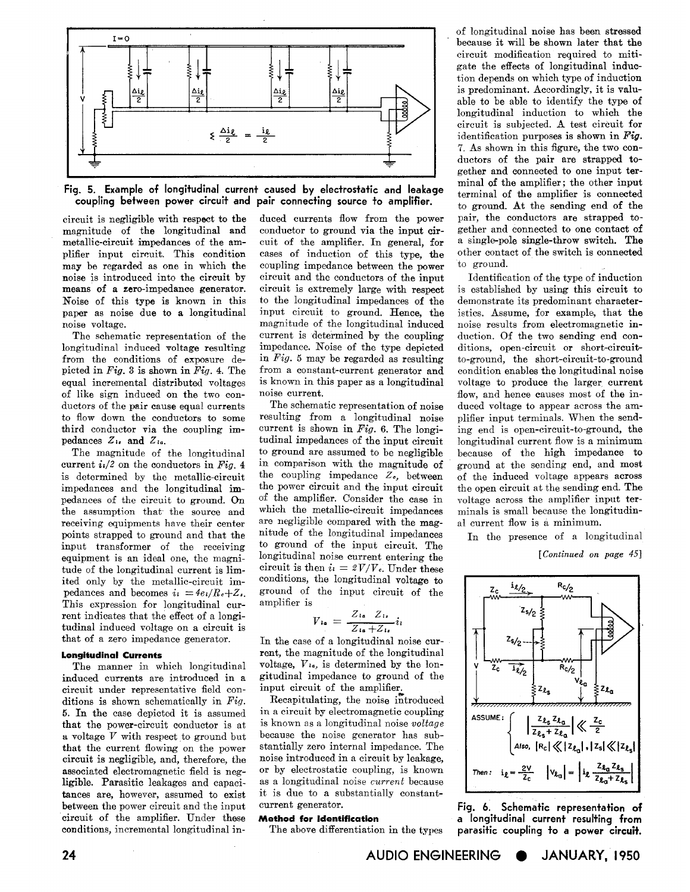

Fig. **5.** Example of longitudinal current caused by electrostatic and leakage coupling between power circuit and pair connecting source to amplifier.

circuit is negligible with respect to the duced currents flow from the power magnitude of the longitudinal and conductor to ground via the input cir-<br>metallic-circuit impedances of the am-<br>cuit of the amplifier. In general, for metallic-circuit impedances of the am- cuit of the amplifier. In general, for plifier input circuit. This condition cases of induction of this type, the plifier input circuit. This condition cases of induction of this type, the may be regarded as one in which the coupling impedance between the power may be regarded as one in which the coupling impedance between the power<br>noise is introduced into the circuit by circuit and the conductors of the input Noise of this type is known in this to the longitudinal impedances of the paper as noise due to a longitudinal input circuit to ground. Hence, the

longitudinal induced voltage resulting impedance. Noise of the type depicted from the conditions of exposure de- in  $Fig. 5$  may be regarded as resulting from the conditions of exposure de- in  $Fig. 5$  may be regarded as resulting picted in *Fig.* 3 is shown in *Fig.* 4. The from a constant-current generator and equal incremental distributed voltages is known in this paper as a longitudinal of like sign induced on the two conof like sign induced on the two con-<br>ductors of the pair cause equal currents. ductors of the pair cause equal currents The schematic representation of noise<br>to flow down the conductors to some resulting from a longitudinal noise

current  $i_1/2$  on the conductors in *Fig.* 4 in comparison with the magnitude of is determined by the metallic-circuit the coupling impedance  $Z_c$ , between is determined by the metallic-circuit the coupling impedance  $Z_e$ , between<br>impedances and the longitudinal impedances of the circuit to ground.  $\overline{O_n}$  of the amplifier. Consider the case in the assumption that the source and which the metallic-circuit impedances receiving equipments have their center are negligible compared with the mag-<br>noints stranned to ground and that the nitude of the longitudinal impedances points strapped to ground and that the nitude of the longitudinal impedances<br>input transformer of the receiving to ground of the input circuit. The input transformer of the receiving to ground of the input circuit. The equipment is an ideal one the magni-<br>longitudinal noise current entering the equipment is an ideal one, the magni-<br>tudinal noise current entering the tude of the longitudinal current is  $\lim$ -<br>circuit is then  $i = \frac{2V}{V}$ . Under these tude of the longitudinal current is limited only by the metallic-circuit im-<br>pedances and becomes  $i_l = 4e_l/R_c+Z_s$  ground of the input circuit of the This expression for longitudinal current indicates that the effect of a longitudinal induced voltage on a circuit is that of a zero impedance generator.

circuit under representative field con-<br>ditions is shown schematically in  $Fig.$  Recapitulating, the noise introduced ditions is shown schematically in  $Fig.$  Recapitulating, the noise introduced  $\tilde{b}$ . In the case depicted it is assumed in a circuit by electromagnetic coupling 5. In the case depicted it is assumed in a circuit by electromagnetic coupling that the power-circuit conductor is at is known as a longitudinal noise *voltage* that the power-circuit conductor is at is known as a longitudinal noise *voltage*  a voltage  $V$  with respect to ground but because the noise generator has sub-<br>that the current flowing on the nower stantially zero internal impedance. The that the current flowing on the power circuit is negligible, and, therefore, the circuit is negligible, and, therefore, the noise introduced in a circuit by leakage, associated electromagnetic field is neg- or by electrostatic coupling, is known associated electromagnetic field is neg- or by electrostatic coupling, is known ligible. Parasitic leakages and capaci- as a longitudinal noise *current* because tances are, however, assumed to exist it is due to a substantially constant  $\frac{1}{\sqrt{2}}$  between the nower circuit and the input current generator. between the power circuit and the input circuit of the amplifier. Under these **Method for Identification** 

noise is introduced into the circuit by circuit and the conductors of the input<br>means of a zero-impedance generator, circuit is extremely large with respect means of a zero-impedance generator. circuit is extremely large with respect Noise of this type is known in this to the longitudinal impedances of the paper as noise due to a longitudinal input circuit to ground. Hence, the noise voltage. The magnitude of the longitudinal induced noise voltage. magnitude of the longitudinal induced<br>The schematic representation of the current is determined by the coupling The schematic representation of the current is determined by the coupling longitudinal induced voltage resulting impedance. Noise of the type depicted from a constant-current generator and

to flow down the conductors to some resulting from a longitudinal noise third conductor via the coupling im-<br>current is shown in  $Fig. 6$ . The longithird conductor via the coupling im-<br>pedances  $Z_i$ , and  $Z_i$ , tudinal impedances of the input circuit pedances  $Z_{1}$ , and  $Z_{1}$ . tudinal impedances of the input circuit The magnitude of the longitudinal to ground are assumed to be negligible The magnitude of the longitudinal to ground are assumed to be negligible current  $i/2$  on the conductors in Fig. 4 in comparison with the magnitude of the power circuit and the input circuit ground of the input circuit of the amplifier is

$$
V_{1a} = \frac{Z_{1a} Z_{1s}}{Z_{1a} + Z_{1s}} i_l
$$

In the case of a longitudinal noise cur-**Longitudinal Currents rent, the magnitude of the longitudinal**<br>The manner in which longitudinal voltage,  $V_{i\phi}$ , is determined by the lon-The manner in which longitudinal voltage,  $V_{10}$ , is determined by the lon-<br>induced currents are introduced in a gitudinal impedance to ground of the gitudinal impedance to ground of the input circuit of the amplifier.

as a longitudinal noise *current* because it is due to a substantially constant-

The above differentiation in the types

of longitudinal noise has been stressed because it will be shown later that the circuit modification required to mitigate the effects of longitudinal induction depends on which type of induction is predominant. Accordingly, it is valuable to be able to identify the type of longitudinal induction to which the circuit is subjected. **A** test circuit for identification purposes is shown in *Fig.*  7. As shown in this figure, the two conductors of the pair are strapped together and connected to one input terminal of the amplifier; the other input terminal of the amplifier is connected to ground. At the sending end of the pair, the conductors are strapped together and connected to one contact of a single-pole single-throw switch. The other contact of the switch is connected to ground.

Identification of the type of induction is established by using this circuit to demonstrate its predominant characteristics. Assume, for example, that the noise results from electromagnetic induction. Of the two sending end conditions, open-circuit or short-circuitto-ground, the short-circuit-to-ground condition enables the longitudinal noise voltage to produce the larger current flow, and hence causes most of the induced voltage to appear across the amplifier input terminals. When the sending end is open-circuit-to-ground, the longitudinal current flow is a minimum because of the high impedance to ground at the sending end, and most of the induced voltage appears across the open circuit at the sending end. The voltage across the amplifier input terminals is small because the longitudinal current flow is a minimum.

In the presence of a longitudinal

*[Continued* on *page* 451



Fig. 6. Schematic representation of a longitudinal current resulting from parasitic coupling to a power circuit.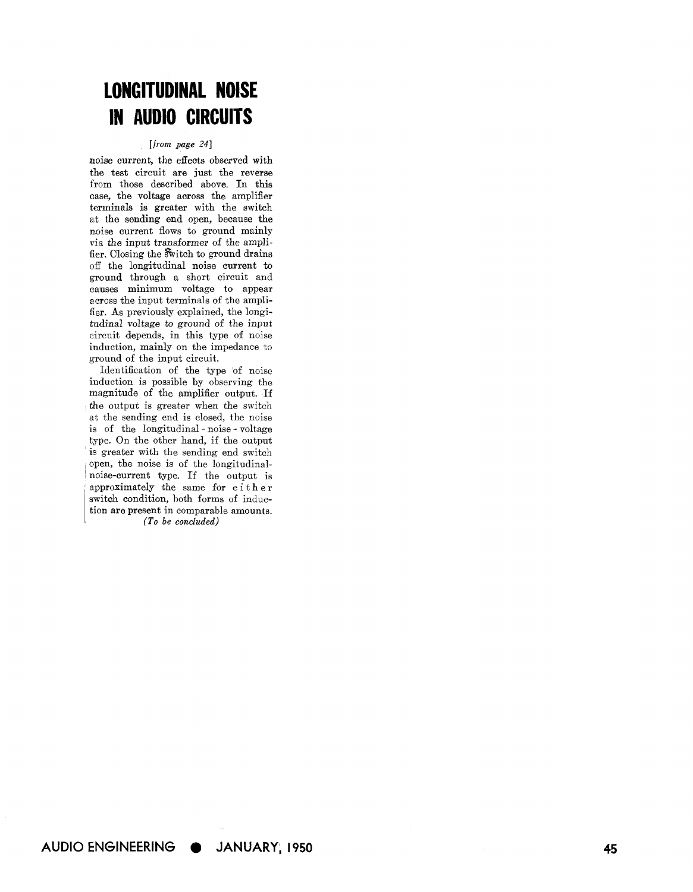# **LONGITUDINAL NOISE IN AUDIO CIRCUITS**

## *[from page 241*

noise current, the effects observed with the test circuit are just the reverse from those described above. In this case, the voltage across the amplifier terminals is greater with the switch at the sending end open, because the noise current flows to ground mainly via the input transformer of the amplifier. Closing the switch to ground drains off the longitudinal noise current to ground through a short circuit and causes minimum voltage to appear across the input terminals of the amplifier. As previously explained, the longitudinal voltage to ground of the input circuit depends, in this type of noise induction, mainly on the impedance to ground of the input circuit.

Identification of the type of noise induction is possible by observing the magnitude of the amplifier output. If the output is greater when the switch at the sending end is closed, the noise is of the longitudinal - noise - voltage type. On the other hand, if the output is greater with the sending end switch open, the noise is of the longitudinalnoise-current type. If the output is approximately the same for either switch condition, both forms of induction are present in comparable amounts. *(To be concluded)*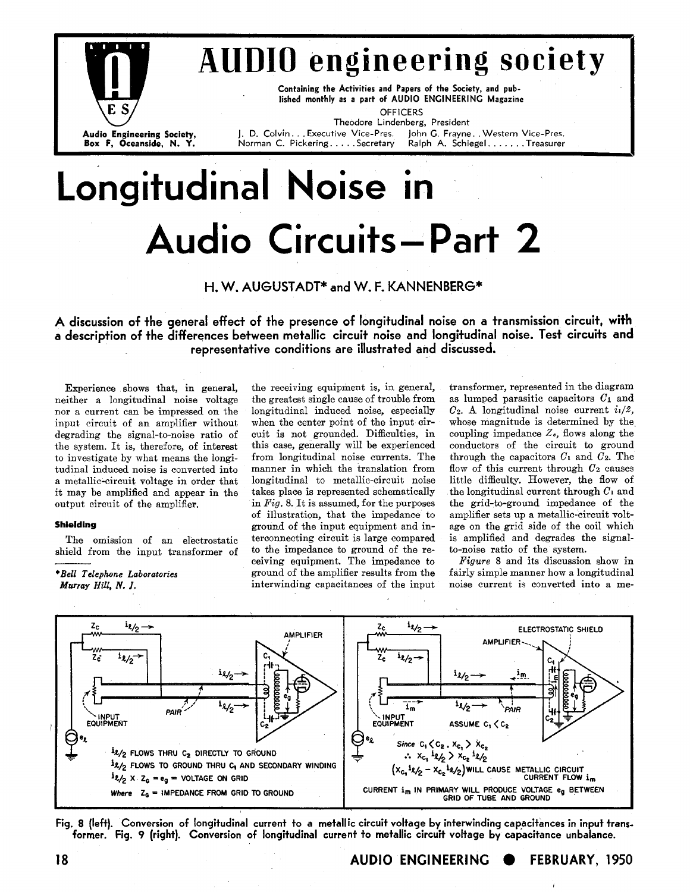

# **AUDIO engineering society**

**Containing the Activities and Papers of the Society, and published monthly as a part of AUDIO ENGINEERING Magazine** 

**OFFICERS Theodore Lindenberg, President** 

**Audio Engineering Society,** J. D. Colvin... Executive Vice-Pres. John G. Frayne.. Western Vice-Pres.<br> **Box F, Oceanside, N. Y.** Morman C. Pickering..... Secretary Ralph A. Schiegel...... Treasurer  $B$ **Ralph A. Schiegel** . . . . . . . Treasurer

# **Longitudinal Noise in Audio Circuits- Part 2**

## H. W. AUGUSTADT<sup>\*</sup> and W. F. KANNENBERG<sup>\*</sup>

**A discussion of the general effect of the presence of longitudinal noise on a transmission circuit, with**  a description of the differences between metallic circuit noise and longitudinal noise. Test circuits and **representative conditions are illustrated and discussed.** 

neither a longitudinal noise voltage nor a current can be impressed on the input circuit of an amplifier without degrading the signal-to-noise ratio of the system. It is, therefore, of interest to investigate by what means the longitudinal induced noise is converted into a metallic-circuit voltage in order that longitudinal to metallic-circuit noise little difficulty. However, the flow of<br>it may be amplified and appear in the takes place is represented schematically the longitudinal curre

longitudinal induced noise, especially when the center point of the input circuit is not grounded. Difficulties, in this case, generally will be experienced from longitudinal noise currents. The manner in which the translation from longitudinal to metallic-circuit noise takes place is represented schematically it may be amplified and appear in the takes place is represented schematically the longitudinal current through  $C_1$  and output circuit of the amplifier.  $\begin{array}{c|c}\n\text{in } Fig. 8. \text{ It is assumed, for the purposes} & \text{the grid-to-ground impedance of the or illustration, that the impedance to amplitude-circuit volt-$ **Shielding**<br>The omission of an electrostatic terconnecting circuit is large compared is amplified and degrades the signal-<br>The omission of an electrostatic terconnecting circuit is large compared is amplified and degrades The omission of an electrostatic terconnecting circuit is large compared is amplified and degrades the signal-<br>ield from the input transformer of to the impedance to ground of the re- to-noise ratio of the system. shield from the input transformer of to the impedance to ground of the re- to-noise ratio of the system.<br>  $\overline{F}$  ceiving equipment. The impedance to  $\overline{F}$   $\overline{G}$  and its discussion show in ceiving equipment. The impedance to ground of the amplifier results from the *Murray Hill, N. J.* **interwinding capacitances of the input** 

**Experience shows that, in general,** the receiving equipment is, in general, transformer, represented in the diagram<br>exiting a longitudinal noise voltage the greatest single cause of trouble from as lumped parasitic capac  $C_2$ . A longitudinal noise current  $i_1/2$ , whose magnitude is determined by the coupling impedance *Zc,* flows along the conductors of the circuit to ground through the capacitors  $C_1$  and  $C_2$ . The flow of this current through  $C_2$  causes<br>little difficulty. However, the flow of amplifier sets up a metallic-circuit volt-<br>age on the grid side of the coil which

*\*Bell Telephone Laboratories* ground of the amplifier results from the fairly simple manner how a longitudinal





**18 AUDIO ENGINEERING FEBRUARY, 1950**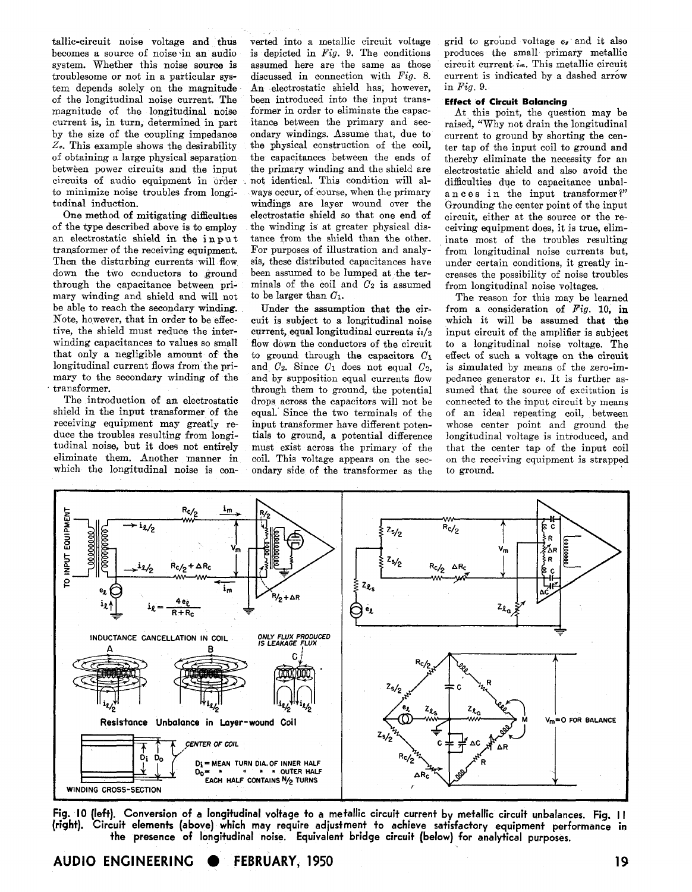becomes a source of noise in an audio is depicted in  $Fig. 9$ . The conditions system. Whether this noise source is assumed here are the same as those system. Whether this noise source is troublesome or not in a particular sys-<br>tiscussed in connection with *Fig.* 8.<br>tem depends solely on the magnitude An electrostatic shield has, however, tem depends solely on the magnitude An electrostatic shield has, however, of the longitudinal noise current. The been introduced into the input transof the longitudinal noise current. The been introduced into the input transmagnitude of the longitudinal noise former in order to eliminate the capac-<br>current is, in turn, determined in part itance between the primary and seccurrent is, in turn, determined in part itance between the primary and sec-<br>by the size of the coupling impedance ondary windings. Assume that, due to by the size of the coupling impedance ondary windings. Assume that, due to  $Z_c$ . This example shows the desirability the physical construction of the coil,  $Z_c$ . This example shows the desirability the physical construction of the coil, of obtaining a large physical separation the capacitances between the ends of of obtaining a large physical separation between power circuits and the input the primary winding and the shield are circuits of audio equipment in order not identical. This condition will alcircuits of audio equipment in order not identical. This condition will alto minimize noise troubles from longi- ways occur, of course, when the primary to minimize noise troubles from longitudinal induction.

of the type described above is **to** employ the winding is at greater physical disan electrostatic shield in the input tance from the shield than the other.<br>transformer of the receiving equipment. For purposes of illustration and analytransformer of the receiving equipment. For purposes of illustration and analy-<br>Then the disturbing currents will flow sis, these distributed capacitances have Then the disturbing currents will flow sis, these distributed capacitances have down the two conductors to ground been assumed to be lumped at the terdown the two conductors to ground through the capacitance between primary winding and shield and will not be able to reach the secondary winding. Note, however, that in order to be effective, the shield must reduce the interwinding capacitances to values so small that only a negligible amount of the longitudinal current flows from the primary to the secondary winding of the transformer.

The introduction of an electrostatic shield in the input transformer of the receiving equipment may greatly reduce the troubles resulting from longitudinal noise, but it does not entirely eliminate them. Another manner in which the longitudinal noise is con-

tallic-circuit noise voltage and thus verted into a metallic circuit voltage becomes a source of noise in an audio is depicted in  $Fig. 9$ . The conditions windings are layer wound over the electrostatic shield so that one end of One method of mitigating difficulties electrostatic shield so that one end of the type described above is to employ the winding is at greater physical disminals of the coil and  $C_2$  is assumed<br>to be larger than  $C_1$ .

> Under the assumption that the circuit is subject to a longitudinal noise current, equal longitudinal currents  $i/2$ flow down the conductors of the circuit to ground through the capacitors **C1**  and  $C_2$ . Since  $C_1$  does not equal  $C_2$ , and by supposition equal currents flow through them to ground, the potential drops across the capacitors will not be equal. Since the two terminals of the input transformer have different potentials to ground, a potential difference must exist across the primary of the coil. This voltage appears on the secondary side of the transformer as the

grid to ground voltage  $e_{\ell}$  and it also produces the small primary metallic circuit current *im.* This metallic circuit current is indicated by a dashed arrow in *Fig.* 9.

## **Effect of Circuit Balancing**

At this point, the question may be raised, "Why not drain the longitudinal current to ground by shorting the center tap of the input coil to ground and thereby eliminate the necessity for an electrostatic shield and also avoid the difficulties due to capacitance unbalances in the input transformer?" Grounding the center point of the input circuit, either at the source or the receiving equipment does, it is true, eliminate most of the troubles resulting from longitudinal noise currents but, under certain conditions, it greatly increases the possibility of noise troubles from longitudinal noise voltages.

The reason for this may be learned from a consideration of *Pig.* 10, in which it will be assumed that the input circuit of the amplifier is subject to a longitudinal noise voltage. The effect of such a voltage on the circuit is simulated by means of the zero-impedance generator *el.* It is further assumed that the source of excitation is connected to the input circuit by means of an ideal repeating coil, between whose center point and ground the longitudinal voltage is introduced, and that the center tap of the input coil on the receiving equipment is strapped to ground.



**Fig. 10 (left). Conversion of a longitudinal voltage to a metallic circuit current by metallic circuit unbalances. Fig. I I (right). Circuit elements (above) which may require adjustment to achieve satisfactory equipment performance in the presence of longitudinal noise. Equivalent bridge circuit (below) for analytical purposes.** 

**AUDIO ENGINEERING ● FEBRUARY, 1950** 19 **19 19**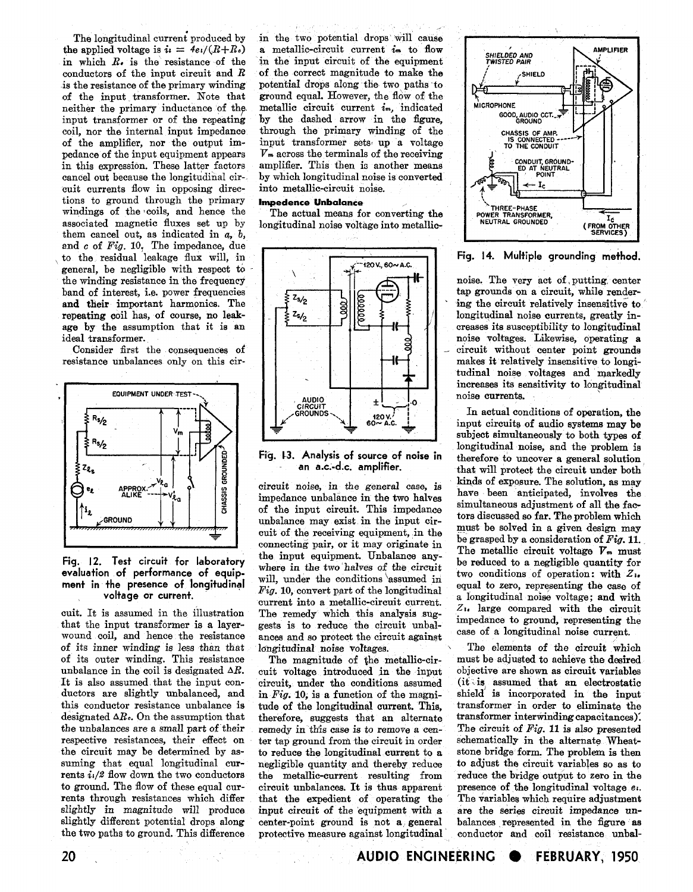the applied voltage is  $i = 4e/(R+R_0)$  a metallic-circuit current  $i_m$  to flow<br>in which  $R_0$  is the resistance of the in the input circuit of the equipment in which  $R_e$  is the resistance of the in the input circuit of the equipment<br>conductors of the input circuit and  $R$  of the correct magnitude to make the conductors of the input circuit and  $R$  is the resistance of the primary winding of the input transformer. Note that neither the primary inductance of the neither the primary inductance of the metallic circuit current *im*, indicated input transformer or of the repeating by the dashed arrow in the figure. input transformer or of the repeating by the dashed arrow in the figure, coil, nor the internal input impedance through the primary winding of the of the amplifier, nor the output im-<br>put transformer sets up a voltage<br>pedance of the input equipment appears  $V_m$  across the terminals of the receiving pedance of the input equipment appears  $V_m$  across the terminals of the receiving in this expression. These latter factors amplifier. This then is another means in this expression. These latter factors amplifier. This then is another means cancel out because the longitudinal cir-<br>by which longitudinal noise is converted cancel out because the longitudinal cir- by which longitudinal noise<br>cuit currents flow in opposing direc- into metallic-circuit noise. cuit currents flow in opposing directions to ground through the primary **Impedenee Unbalance**  windings of the coils, and hence the The actual means for converting the associated magnetic fluxes set up by longitudinal noise voltage into metallicthem cancel out, as indicated in a, *b,*  end c of **Fig.** 10, The impedance, due general, be negligible with respect to the winding resistance in the frequency



# Fig. 12. Test circuit for laboratory the input equipment. Unbatance any-<br>evaluation of performance of equip-<br>will, under the conditions assumed in two conditions of operation: with Z<sub>1</sub>, evaluation of performance of equip-<br> **evaluation** of peration: with Z<sub>1</sub>.<br> **equal to zero**, representing the case of<br> **equal to zero**, representing the case of

cuit. It is assumed in the illustration The remedy which this analysis sug-<br>that the input transformer is a layer-<br>gests is to reduce the circuit unbal-<br>impedance to ground, representing the wound coil, and hence the resistance ances and so protect the circuit against case of a longitudinal noise current.<br>of its inner winding is less than that longitudinal noise voltages. The elements of the circuit which of its inner winding is less than that longitudinal noise voltages.<br>
of its outer winding. This resistance The magnitude of the metallic-cirof its outer winding. This resistance The magnitude of the metallic-cir- must be adjusted to achieve the desired<br>unbalance in the coil is designated  $\Delta R$ , cuit voltage introduced in the input objective are shown as circu unbalance in the coil is designated  $\Delta R$ . cuit voltage introduced in the input objective are shown as circuit variables It is also assumed that an electrostatic It is also assumed that the input con- circuit, under the conditions assumed (it is assumed that an electrostatic ductors are slightly unbalanced, and in Fig. 10 is a function of the magni- shield is incorporated in the i this conductor resistance unbalance is tude of the longitudinal current. This, transformer in order to eliminate the designated  $\Delta R_c$ . On the assumption that therefore, suggests that an alternate transformer interwinding the unbalances are a small part of their remedy in this case is to remove a cen-<br>respective resistances, their effect on ter tap ground from the circuit in order schematically in the alternate Wheatrespective resistances, their effect on ter tap ground from the circuit in order schematically in the alternate Wheat-<br>the circuit may be determined by as-<br>to reduce the longitudinal current to a stone bridge form. The pr the circuit may be determined by as-<br>suming that equal longitudinal cur-<br>negligible quantity and thereby reduce suming that equal longitudinal cur- negligible quantity and thereby reduce to adjust the circuit variables so as to rents  $i/2$  flow down the two conductors the metallic-current resulting from reduce the bridge output to rents  $i_1/2$  flow down the two conductors the metallic-current resulting from reduce the bridge output to zero in the to ground. The flow of these equal cur-<br>to ground. The flow of these equal cur-<br>circuit upbalances. It to ground. The flow of these equal cur-<br>rents through resistances which differ that the expedient of operating the The variables which require adjustment rents through resistances which differ that the expedient of operating the The variables which require adjustment slightly in magnitude will produce input circuit of the equipment with a are the series circuit impedance un slightly in magnitude will produce input circuit of the equipment with a are the series circuit impedance un-<br>slightly different potential drops along center-point ground is not a general balances represented in the figure

The longitudinal current produced by in the two potential drops will cause<br>e applied voltage is  $i_i = 4e/(R+R_i)$  a metallic-circuit current  $i_m$  to flow potential drops along the two paths to ground equal. However, the flow of the through the primary winding of the

longitudinal noise voltage into metallic-



impedance unbalance in the two halves of the input circuit. This impedance unbalance may exist in the input cir-<br>must be solved in a given design may cuit of the receiving equipment, in the connecting pair, or it may originate in the input equipment. Unbalance any-The presence of longitudinal *Fig.* 10, convert part of the longitudinal equal to zero, representing the case of voltage or current. voltage or current.<br>cuit. It is assumed in the illustration The remedy which this analysis sug-<br>cuit. It is assumed in the illustration The remedy which this analysis sug-<br> $Z_{11}$  large compared with the circuit gests is to reduce the circuit unbal-<br>ances and so protect the circuit against case of a longitudinal noise current.

in Fig. 10, is a function of the magnitherefore, suggests that an alternate transformer interwinding capacitances). slightly different potential drops along center-point ground is not a general balances represented in the figure as<br>the two paths to ground. This difference protective measure against longitudinal conductor and coil resist protective measure against longitudinal



creases its susceptibility to longitudinal makes it relatively insensitive to longitudinal noise voltages and markedly increases its sensitivity to longitudinal noise currents.

In actual conditions of operation, the input circuits of audio systems may be subject simultaneously to both types of longitudinal noise, and the problem is Fig. 13. Analysis of source of noise in **therefore to uncover a general solution**<br>an a.c.-d.c. amplifier. that will protect the circuit under both that will protect the circuit under both circuit noise, in the *general* **case,** is kinds of exposure. The solution, as may simultaneous adjustment of all the fac-<br>tors discussed so far. The problem which be grasped by a consideration of *Fig.* 11.<br>The metallic circuit voltage  $V_m$  must

**20** . **AUDIO ENGINEERING e FEBRUARY, 1950**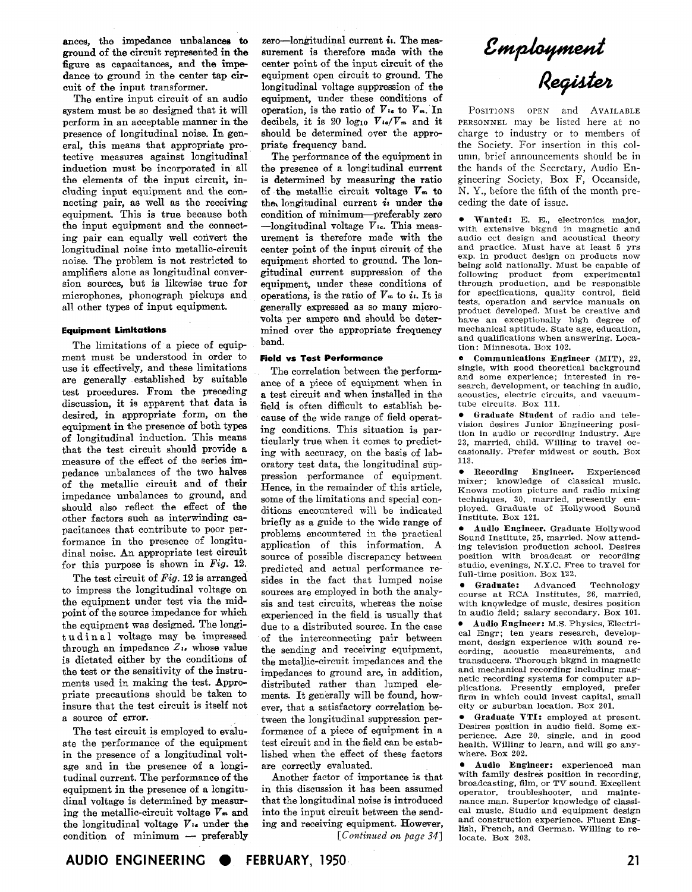ances, the impedance unbalances to ground of the circuit represented in the figure as capacitances, and the impedance to ground in the center tap circuit of the input transformer.

The entire input circuit of an audio system must be so designed that it will perform in an acceptable manner in the presence of longitudinal noise. In general, this means that appropriate protective measures against longitudinal induction must be incorporated in all the elements of the input circuit, including input equipment and the connecting pair, as well as the receiving equipment. This is true because both the input equipment and the connecting pair can equally well convert the longitudinal noise into metallic-circuit noise. The problem is not restricted to amplifiers alone as longitudinal conversion sources, but is likewise true for microphones, phonograph pickups and all other types of input equipment.

### **Equipment Limitations**

The limitations of a piece of equipment must be understood in order to use it effectively, and these limitations are generally established by suitable test procedures. From the preceding discussion, it is apparent that data is desired, in appropriate form, on the equipment in the presence of both types of longitudinal induction. This means that the test circuit should provide a measure of the effect of the series impedance unbalances of the two halves of the metallic circuit and of their impedance unbalances to ground, and should also reflect the effect of the other factors such as interwinding capacitances that contribute to poor performance in the presence of longitudinal noise. An appropriate test circuit for this purpose is shown in **Fig.** 12.

The test circuit of **Pig. 12** is arranged to impress the longitudinal voltage on the equipment under test via the midpoint of the source impedance for which the equipment was designed. The longitudinal voltage may be impressed through an impedance  $Z_{1}$ , whose value is dictated either by the conditions of the test or the sensitivity of the instruments used in making the test. Appropriate precautions should be taken to insure that the test circuit is itself not a source of error.

The test circuit is employed to evaluate the performance of the equipment in the presence of a longitudinal voltage and in the presence **of a** longitudinal current. The performance of the equipment in the presence of a longitudinal voltage is determined by measuring the metallic-circuit voltage *Vm* and the longitudinal voltage *Vta* under the ing the metallic-circuit voltage  $V_{\bullet}$  and<br>the longitudinal voltage  $V_{\bullet}$  under the<br>condition of minimum - preferably

zero-longitudinal current *i*<sub>1</sub>. The measurement is therefore made with the center point of the input circuit of the equipment open circuit to ground. The longitudinal voltage suppression of the equipment, under these conditions of operation, is the ratio of *Vra* to *Vm.* In decibels, it is 20  $log_{10}$   $V_{1a}/V_{m}$  and it should be determined over the appropriate frequency band.

The performance of the equipment in the presence of a longitudinal current is determined by measuring the ratio of the metallic circuit voltage *Vm* to the, longitudinal current **iz** under **the**  condition of minimum-preferably zero -longitudinal voltage *Vr..* This measurement is therefore made with the center point of the input circuit of the equipment shorted to ground. The longitudinal current suppression of the equipment, under these conditions of operations, is the ratio of  $V_m$  to  $i_i$ . It is generally expressed as so many microvolts per ampere and should be determined over the appropriate frequency band.

### **Field vs Test Performance**

The correlation between the performance of a piece of equipment when in a test circuit and when installed in the field is often difficult to establish because of the wide range of field operating conditions. This situation is particularly true, when it comes to predicting with accuracy, on the basis of laboratory test data, the longitudinal suppression performance of equipment. Hence, in the remainder of this article, some of the limitations and special conditions encountered will be indicated briefly as a guide to the wide range of problems encountered in the practical application of this information. **A**  source of possible discrepancy between predicted and actual performance resides in the fact that lumped noise sources are employed in both the analysis and test circuits, whereas the noise experienced in the field is usually that due to a distributed source. In the case of the interconnecting pair between the sending and receiving equipment, the metallic-circuit impedances and the impedances to ground are, in addition, distributed rather than lumped dements. It generally will be found, however, that a satisfactory correlation between the longitudinal suppression performance of a piece of equipment in a test circuit and in the field can be established when the effect of these factors are correctly evaluated.

Another factor of importance is that in this discussion it has been assumed that the longitudinal noise is introduced into the input circuit between the sending and receiving equipment. However, *[Continued* **0%** *page 341*  Employment<br>Register

POSITIONS OPEN and AVAILABLE PERSONNEL may be listed here at no charge to industry or to members of the Society. For insertion in this column, brief announcements should be in the hands of the Secretary, Audio Engineering Society, Box F, Oceanside, N. Y., before the fifth of the month preceding the date of issue.

Wanted: E. E., electronics major, with extensive bkgnd in magnetic and audio cct design and acoustical theory and practice. Must have at least 5 yrs exp. in product design on products now being sold nationally. Must be capable of following product from experimental through production, and be responsible for specifications, quality control, field tests, operation and service manuals on product developed. Must be creative and have an exceptionally high degree of mechanical aptitude. State age, education, and qualifications when answering. Location: Minnesota. Box **102.** 

**e** Communications Engineer (MIT), **22,**  and some experience; interested in research, development, or teaching in audio, acoustics, electric circuits, and vacuumtube circuits. Box **111.** 

Graduate Student of radio and tele- $\bullet$ vision desires Junior Engineering posi- tion in audio or recording industry. Age **23,** married, child. Willing to travel occasionally. Prefer midwest or south. Box **113.** 

Recording Engineer. Experienced mixer; knowledge of classical music. Knows motion picture and radio mixing<br>techniques, 30, married, presently em-<br>ployed. Graduate of Hollywood Sound<br>Institute. Box 121.

Audio Engineer. Graduate Hollywood Sound Institute, **25,** married. Now attending television production school. Desires position with broadcast or recording studio, evenings, N.Y.C. Free to travel for full-time position. Box **122.** 

Graduate: Advanced Technology  $\bullet$ course at RCA Institutes, 26, married, with knowledge of music, desires position in audio field; salary secondary. Box **101.**  Audio Engineer: M.S. Physics, Electrical Engr; ten years research, development, design experience with sound recording, acoustic measurements, and<br>transducers. Thorough bkgnd in magnetic and mechanical recording including magnetic recording systems for computer applications. Presently employed, prefer firm in which could invest capital, small city or suburban location. Box **201.** 

\* Graduate VTI: employed at present. Desires position in audio field. Some exhealth. Willing to learn, and will go any-<br>where. Box 202.

Audio Engineer: experienced man with family desires position in recording, broadcasting, film, or TV sound. Excellent operator. troubleshooter, and maintenance man. Superior knowledge of classical music. Studio and equipment design and construction experience. Fluent English, French, and German. Willing to relocate. Box **203.**